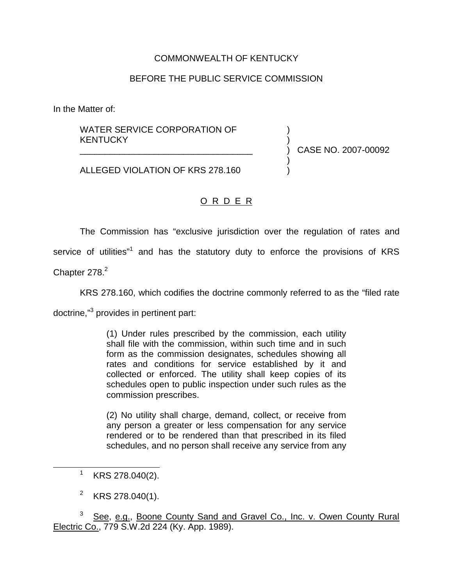## COMMONWEALTH OF KENTUCKY

## BEFORE THE PUBLIC SERVICE COMMISSION

In the Matter of:

## WATER SERVICE CORPORATION OF KENTUCKY

) CASE NO. 2007-00092

) )

) )

ALLEGED VIOLATION OF KRS 278.160

\_\_\_\_\_\_\_\_\_\_\_\_\_\_\_\_\_\_\_\_\_\_\_\_\_\_\_\_\_\_\_\_\_\_\_

## O R D E R

The Commission has "exclusive jurisdiction over the regulation of rates and

service of utilities"<sup>1</sup> and has the statutory duty to enforce the provisions of KRS

Chapter 278.<sup>2</sup>

KRS 278.160, which codifies the doctrine commonly referred to as the "filed rate

doctrine,"<sup>3</sup> provides in pertinent part:

(1) Under rules prescribed by the commission, each utility shall file with the commission, within such time and in such form as the commission designates, schedules showing all rates and conditions for service established by it and collected or enforced. The utility shall keep copies of its schedules open to public inspection under such rules as the commission prescribes.

(2) No utility shall charge, demand, collect, or receive from any person a greater or less compensation for any service rendered or to be rendered than that prescribed in its filed schedules, and no person shall receive any service from any

 $1$  KRS 278.040(2).

<sup>&</sup>lt;sup>2</sup> KRS 278.040(1).

<sup>&</sup>lt;sup>3</sup> See, e.g., Boone County Sand and Gravel Co., Inc. v. Owen County Rural Electric Co., 779 S.W.2d 224 (Ky. App. 1989).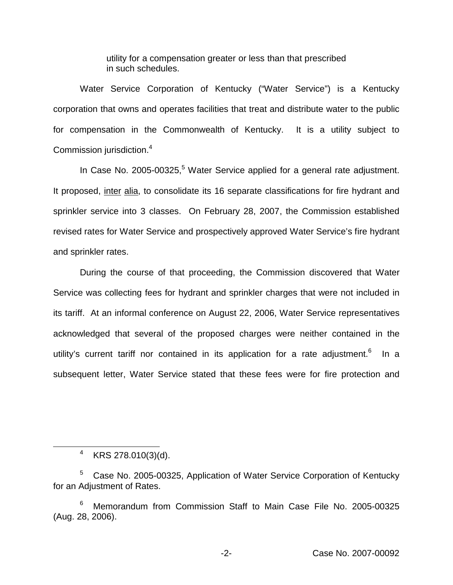utility for a compensation greater or less than that prescribed in such schedules.

Water Service Corporation of Kentucky ("Water Service") is a Kentucky corporation that owns and operates facilities that treat and distribute water to the public for compensation in the Commonwealth of Kentucky. It is a utility subject to Commission jurisdiction.<sup>4</sup>

In Case No. 2005-00325,<sup>5</sup> Water Service applied for a general rate adjustment. It proposed, inter alia, to consolidate its 16 separate classifications for fire hydrant and sprinkler service into 3 classes. On February 28, 2007, the Commission established revised rates for Water Service and prospectively approved Water Service's fire hydrant and sprinkler rates.

During the course of that proceeding, the Commission discovered that Water Service was collecting fees for hydrant and sprinkler charges that were not included in its tariff. At an informal conference on August 22, 2006, Water Service representatives acknowledged that several of the proposed charges were neither contained in the utility's current tariff nor contained in its application for a rate adjustment.<sup>6</sup> In a subsequent letter, Water Service stated that these fees were for fire protection and

<sup>4</sup> KRS 278.010(3)(d).

<sup>5</sup> Case No. 2005-00325, Application of Water Service Corporation of Kentucky for an Adjustment of Rates.

<sup>6</sup> Memorandum from Commission Staff to Main Case File No. 2005-00325 (Aug. 28, 2006).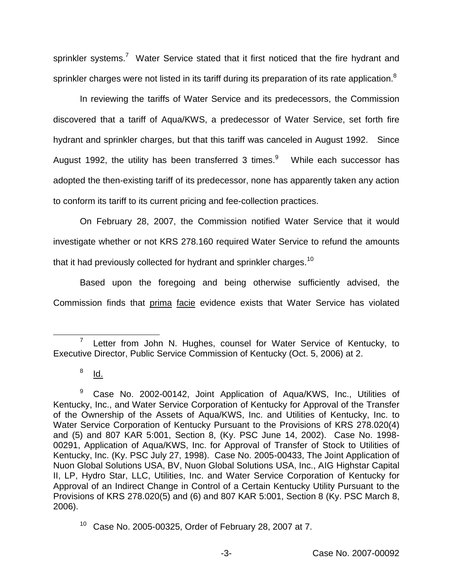sprinkler systems.<sup>7</sup> Water Service stated that it first noticed that the fire hydrant and sprinkler charges were not listed in its tariff during its preparation of its rate application.<sup>8</sup>

In reviewing the tariffs of Water Service and its predecessors, the Commission discovered that a tariff of Aqua/KWS, a predecessor of Water Service, set forth fire hydrant and sprinkler charges, but that this tariff was canceled in August 1992. Since August 1992, the utility has been transferred 3 times. $9$  While each successor has adopted the then-existing tariff of its predecessor, none has apparently taken any action to conform its tariff to its current pricing and fee-collection practices.

On February 28, 2007, the Commission notified Water Service that it would investigate whether or not KRS 278.160 required Water Service to refund the amounts that it had previously collected for hydrant and sprinkler charges.<sup>10</sup>

Based upon the foregoing and being otherwise sufficiently advised, the Commission finds that prima facie evidence exists that Water Service has violated

 $7$  Letter from John N. Hughes, counsel for Water Service of Kentucky, to Executive Director, Public Service Commission of Kentucky (Oct. 5, 2006) at 2.

 $8$  Id.

<sup>&</sup>lt;sup>9</sup> Case No. 2002-00142, Joint Application of Aqua/KWS, Inc., Utilities of Kentucky, Inc., and Water Service Corporation of Kentucky for Approval of the Transfer of the Ownership of the Assets of Aqua/KWS, Inc. and Utilities of Kentucky, Inc. to Water Service Corporation of Kentucky Pursuant to the Provisions of KRS 278.020(4) and (5) and 807 KAR 5:001, Section 8, (Ky. PSC June 14, 2002). Case No. 1998- 00291, Application of Aqua/KWS, Inc. for Approval of Transfer of Stock to Utilities of Kentucky, Inc. (Ky. PSC July 27, 1998). Case No. 2005-00433, The Joint Application of Nuon Global Solutions USA, BV, Nuon Global Solutions USA, Inc., AIG Highstar Capital II, LP, Hydro Star, LLC, Utilities, Inc. and Water Service Corporation of Kentucky for Approval of an Indirect Change in Control of a Certain Kentucky Utility Pursuant to the Provisions of KRS 278.020(5) and (6) and 807 KAR 5:001, Section 8 (Ky. PSC March 8, 2006).

<sup>10</sup> Case No. 2005-00325, Order of February 28, 2007 at 7.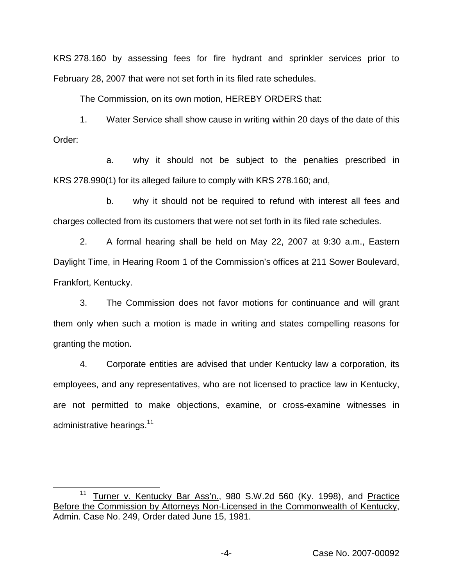KRS 278.160 by assessing fees for fire hydrant and sprinkler services prior to February 28, 2007 that were not set forth in its filed rate schedules.

The Commission, on its own motion, HEREBY ORDERS that:

1. Water Service shall show cause in writing within 20 days of the date of this Order:

a. why it should not be subject to the penalties prescribed in KRS 278.990(1) for its alleged failure to comply with KRS 278.160; and,

b. why it should not be required to refund with interest all fees and charges collected from its customers that were not set forth in its filed rate schedules.

2. A formal hearing shall be held on May 22, 2007 at 9:30 a.m., Eastern Daylight Time, in Hearing Room 1 of the Commission's offices at 211 Sower Boulevard, Frankfort, Kentucky.

3. The Commission does not favor motions for continuance and will grant them only when such a motion is made in writing and states compelling reasons for granting the motion.

4. Corporate entities are advised that under Kentucky law a corporation, its employees, and any representatives, who are not licensed to practice law in Kentucky, are not permitted to make objections, examine, or cross-examine witnesses in administrative hearings.<sup>11</sup>

<sup>&</sup>lt;sup>11</sup> Turner v. Kentucky Bar Ass'n., 980 S.W.2d 560 (Ky. 1998), and Practice Before the Commission by Attorneys Non-Licensed in the Commonwealth of Kentucky, Admin. Case No. 249, Order dated June 15, 1981.